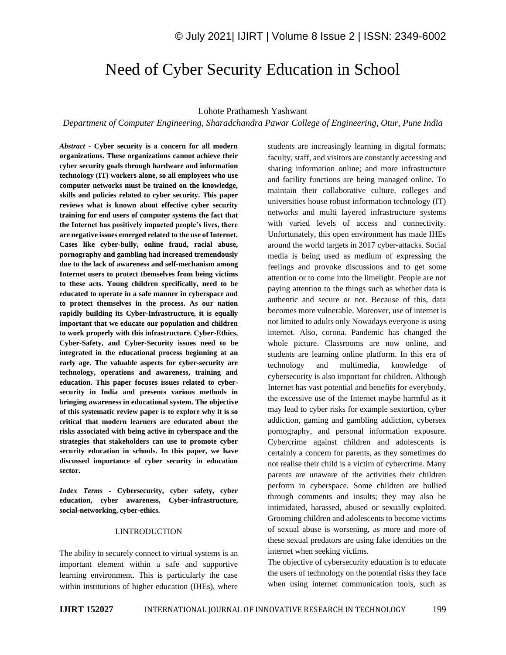# Need of Cyber Security Education in School

#### Lohote Prathamesh Yashwant

*Department of Computer Engineering, Sharadchandra Pawar College of Engineering, Otur, Pune India*

*Abstract -* **Cyber security is a concern for all modern organizations. These organizations cannot achieve their cyber security goals through hardware and information technology (IT) workers alone, so all employees who use computer networks must be trained on the knowledge, skills and policies related to cyber security. This paper reviews what is known about effective cyber security training for end users of computer systems the fact that the Internet has positively impacted people's lives, there are negative issues emerged related to the use of Internet. Cases like cyber-bully, online fraud, racial abuse, pornography and gambling had increased tremendously due to the lack of awareness and self-mechanism among Internet users to protect themselves from being victims to these acts. Young children specifically, need to be educated to operate in a safe manner in cyberspace and to protect themselves in the process. As our nation rapidly building its Cyber-Infrastructure, it is equally important that we educate our population and children to work properly with this infrastructure. Cyber-Ethics, Cyber-Safety, and Cyber-Security issues need to be integrated in the educational process beginning at an early age. The valuable aspects for cyber-security are technology, operations and awareness, training and education. This paper focuses issues related to cybersecurity in India and presents various methods in bringing awareness in educational system. The objective of this systematic review paper is to explore why it is so critical that modern learners are educated about the risks associated with being active in cyberspace and the strategies that stakeholders can use to promote cyber security education in schools. In this paper, we have discussed importance of cyber security in education sector.**

*Index Terms -* **Cybersecurity, cyber safety, cyber education, cyber awareness, Cyber-infrastructure, social-networking, cyber-ethics.**

## I.INTRODUCTION

The ability to securely connect to virtual systems is an important element within a safe and supportive learning environment. This is particularly the case within institutions of higher education (IHEs), where students are increasingly learning in digital formats; faculty, staff, and visitors are constantly accessing and sharing information online; and more infrastructure and facility functions are being managed online. To maintain their collaborative culture, colleges and universities house robust information technology (IT) networks and multi layered infrastructure systems with varied levels of access and connectivity. Unfortunately, this open environment has made IHEs around the world targets in 2017 cyber-attacks. Social media is being used as medium of expressing the feelings and provoke discussions and to get some attention or to come into the limelight. People are not paying attention to the things such as whether data is authentic and secure or not. Because of this, data becomes more vulnerable. Moreover, use of internet is not limited to adults only Nowadays everyone is using internet. Also, corona. Pandemic has changed the whole picture. Classrooms are now online, and students are learning online platform. In this era of technology and multimedia, knowledge of cybersecurity is also important for children. Although Internet has vast potential and benefits for everybody, the excessive use of the Internet maybe harmful as it may lead to cyber risks for example sextortion, cyber addiction, gaming and gambling addiction, cybersex pornography, and personal information exposure. Cybercrime against children and adolescents is certainly a concern for parents, as they sometimes do not realise their child is a victim of cybercrime. Many parents are unaware of the activities their children perform in cyberspace. Some children are bullied through comments and insults; they may also be intimidated, harassed, abused or sexually exploited. Grooming children and adolescents to become victims of sexual abuse is worsening, as more and more of these sexual predators are using fake identities on the internet when seeking victims.

The objective of cybersecurity education is to educate the users of technology on the potential risks they face when using internet communication tools, such as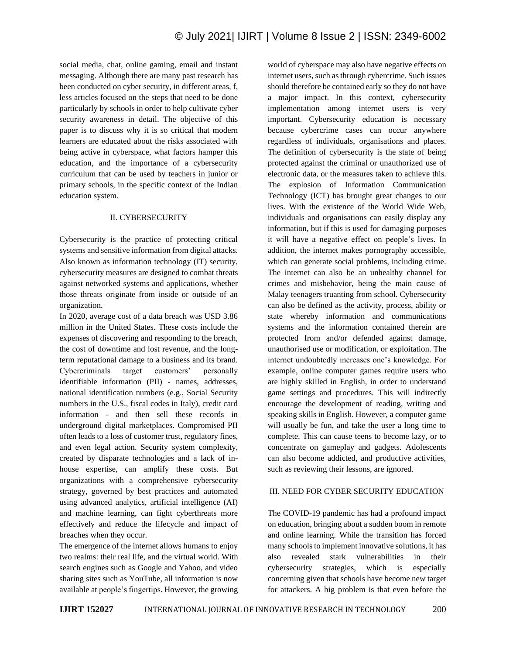social media, chat, online gaming, email and instant messaging. Although there are many past research has been conducted on cyber security, in different areas, f, less articles focused on the steps that need to be done particularly by schools in order to help cultivate cyber security awareness in detail. The objective of this paper is to discuss why it is so critical that modern learners are educated about the risks associated with being active in cyberspace, what factors hamper this education, and the importance of a cybersecurity curriculum that can be used by teachers in junior or primary schools, in the specific context of the Indian education system.

### II. CYBERSECURITY

Cybersecurity is the practice of protecting critical systems and sensitive information from digital attacks. Also known as information technology (IT) security, cybersecurity measures are designed to combat threats against networked systems and applications, whether those threats originate from inside or outside of an organization.

In 2020, average cost of a data breach was USD 3.86 million in the United States. These costs include the expenses of discovering and responding to the breach, the cost of downtime and lost revenue, and the longterm reputational damage to a business and its brand. Cybercriminals target customers' personally identifiable information (PII) - names, addresses, national identification numbers (e.g., Social Security numbers in the U.S., fiscal codes in Italy), credit card information - and then sell these records in underground digital marketplaces. Compromised PII often leads to a loss of customer trust, regulatory fines, and even legal action. Security system complexity, created by disparate technologies and a lack of inhouse expertise, can amplify these costs. But organizations with a comprehensive cybersecurity strategy, governed by best practices and automated using advanced analytics, artificial intelligence (AI) and machine learning, can fight cyberthreats more effectively and reduce the lifecycle and impact of breaches when they occur.

The emergence of the internet allows humans to enjoy two realms: their real life, and the virtual world. With search engines such as Google and Yahoo, and video sharing sites such as YouTube, all information is now available at people's fingertips. However, the growing world of cyberspace may also have negative effects on internet users, such as through cybercrime. Such issues should therefore be contained early so they do not have a major impact. In this context, cybersecurity implementation among internet users is very important. Cybersecurity education is necessary because cybercrime cases can occur anywhere regardless of individuals, organisations and places. The definition of cybersecurity is the state of being protected against the criminal or unauthorized use of electronic data, or the measures taken to achieve this. The explosion of Information Communication Technology (ICT) has brought great changes to our lives. With the existence of the World Wide Web, individuals and organisations can easily display any information, but if this is used for damaging purposes it will have a negative effect on people's lives. In addition, the internet makes pornography accessible, which can generate social problems, including crime. The internet can also be an unhealthy channel for crimes and misbehavior, being the main cause of Malay teenagers truanting from school. Cybersecurity can also be defined as the activity, process, ability or state whereby information and communications systems and the information contained therein are protected from and/or defended against damage, unauthorised use or modification, or exploitation. The internet undoubtedly increases one's knowledge. For example, online computer games require users who are highly skilled in English, in order to understand game settings and procedures. This will indirectly encourage the development of reading, writing and speaking skills in English. However, a computer game will usually be fun, and take the user a long time to complete. This can cause teens to become lazy, or to concentrate on gameplay and gadgets. Adolescents can also become addicted, and productive activities, such as reviewing their lessons, are ignored.

## III. NEED FOR CYBER SECURITY EDUCATION

The COVID-19 pandemic has had a profound impact on education, bringing about a sudden boom in remote and online learning. While the transition has forced many schools to implement innovative solutions, it has also revealed stark vulnerabilities in their cybersecurity strategies, which is especially concerning given that schools have become new target for attackers. A big problem is that even before the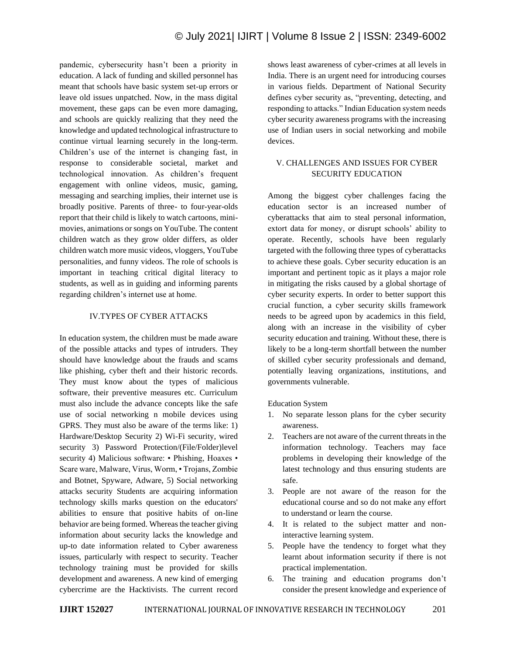pandemic, cybersecurity hasn't been a priority in education. A lack of funding and skilled personnel has meant that schools have basic system set-up errors or leave old issues unpatched. Now, in the mass digital movement, these gaps can be even more damaging, and schools are quickly realizing that they need the knowledge and updated technological infrastructure to continue virtual learning securely in the long-term. Children's use of the internet is changing fast, in response to considerable societal, market and technological innovation. As children's frequent engagement with online videos, music, gaming, messaging and searching implies, their internet use is broadly positive. Parents of three- to four-year-olds report that their child is likely to watch cartoons, minimovies, animations or songs on YouTube. The content children watch as they grow older differs, as older children watch more music videos, vloggers, YouTube personalities, and funny videos. The role of schools is important in teaching critical digital literacy to students, as well as in guiding and informing parents regarding children's internet use at home.

## IV.TYPES OF CYBER ATTACKS

In education system, the children must be made aware of the possible attacks and types of intruders. They should have knowledge about the frauds and scams like phishing, cyber theft and their historic records. They must know about the types of malicious software, their preventive measures etc. Curriculum must also include the advance concepts like the safe use of social networking n mobile devices using GPRS. They must also be aware of the terms like: 1) Hardware/Desktop Security 2) Wi-Fi security, wired security 3) Password Protection/(File/Folder)level security 4) Malicious software: • Phishing, Hoaxes • Scare ware, Malware, Virus, Worm, • Trojans, Zombie and Botnet, Spyware, Adware, 5) Social networking attacks security Students are acquiring information technology skills marks question on the educators' abilities to ensure that positive habits of on-line behavior are being formed. Whereas the teacher giving information about security lacks the knowledge and up-to date information related to Cyber awareness issues, particularly with respect to security. Teacher technology training must be provided for skills development and awareness. A new kind of emerging cybercrime are the Hacktivists. The current record

shows least awareness of cyber-crimes at all levels in India. There is an urgent need for introducing courses in various fields. Department of National Security defines cyber security as, "preventing, detecting, and responding to attacks." Indian Education system needs cyber security awareness programs with the increasing use of Indian users in social networking and mobile devices.

# V. CHALLENGES AND ISSUES FOR CYBER SECURITY EDUCATION

Among the biggest cyber challenges facing the education sector is an increased number of cyberattacks that aim to steal personal information, extort data for money, or disrupt schools' ability to operate. Recently, schools have been regularly targeted with the following three types of cyberattacks to achieve these goals. Cyber security education is an important and pertinent topic as it plays a major role in mitigating the risks caused by a global shortage of cyber security experts. In order to better support this crucial function, a cyber security skills framework needs to be agreed upon by academics in this field, along with an increase in the visibility of cyber security education and training. Without these, there is likely to be a long-term shortfall between the number of skilled cyber security professionals and demand, potentially leaving organizations, institutions, and governments vulnerable.

## Education System

- 1. No separate lesson plans for the cyber security awareness.
- 2. Teachers are not aware of the current threats in the information technology. Teachers may face problems in developing their knowledge of the latest technology and thus ensuring students are safe.
- 3. People are not aware of the reason for the educational course and so do not make any effort to understand or learn the course.
- 4. It is related to the subject matter and noninteractive learning system.
- 5. People have the tendency to forget what they learnt about information security if there is not practical implementation.
- 6. The training and education programs don't consider the present knowledge and experience of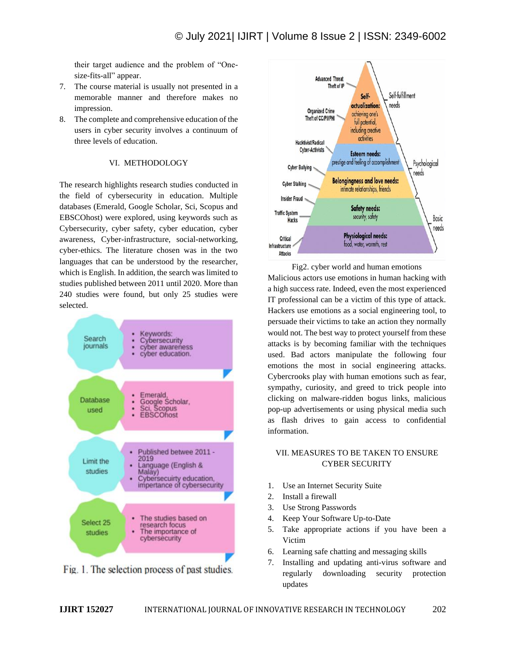their target audience and the problem of "Onesize-fits-all" appear.

- 7. The course material is usually not presented in a memorable manner and therefore makes no impression.
- 8. The complete and comprehensive education of the users in cyber security involves a continuum of three levels of education.

## VI. METHODOLOGY

The research highlights research studies conducted in the field of cybersecurity in education. Multiple databases (Emerald, Google Scholar, Sci, Scopus and EBSCOhost) were explored, using keywords such as Cybersecurity, cyber safety, cyber education, cyber awareness, Cyber-infrastructure, social-networking, cyber-ethics. The literature chosen was in the two languages that can be understood by the researcher, which is English. In addition, the search was limited to studies published between 2011 until 2020. More than 240 studies were found, but only 25 studies were selected.



Fig. 1. The selection process of past studies.



Fig2. cyber world and human emotions Malicious actors use emotions in human hacking with a high success rate. Indeed, even the most experienced IT professional can be a victim of this type of attack. Hackers use emotions as a social engineering tool, to persuade their victims to take an action they normally would not. The best way to protect yourself from these attacks is by becoming familiar with the techniques used. Bad actors manipulate the following four emotions the most in social engineering attacks. Cybercrooks play with human emotions such as fear, sympathy, curiosity, and greed to trick people into clicking on malware-ridden bogus links, malicious pop-up advertisements or using physical media such as flash drives to gain access to confidential

## VII. MEASURES TO BE TAKEN TO ENSURE CYBER SECURITY

- 1. Use an Internet Security Suite
- 2. Install a firewall

information.

- 3. Use Strong Passwords
- 4. Keep Your Software Up-to-Date
- 5. Take appropriate actions if you have been a Victim
- 6. Learning safe chatting and messaging skills
- 7. Installing and updating anti-virus software and regularly downloading security protection updates